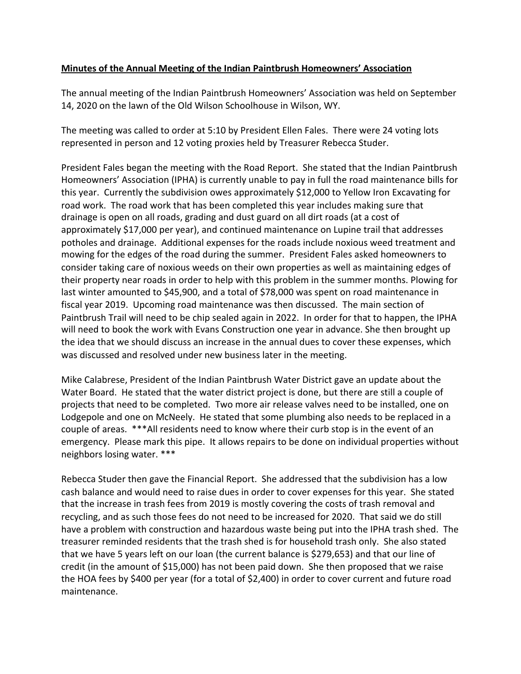## **Minutes of the Annual Meeting of the Indian Paintbrush Homeowners' Association**

The annual meeting of the Indian Paintbrush Homeowners' Association was held on September 14, 2020 on the lawn of the Old Wilson Schoolhouse in Wilson, WY.

The meeting was called to order at 5:10 by President Ellen Fales. There were 24 voting lots represented in person and 12 voting proxies held by Treasurer Rebecca Studer.

President Fales began the meeting with the Road Report. She stated that the Indian Paintbrush Homeowners' Association (IPHA) is currently unable to pay in full the road maintenance bills for this year. Currently the subdivision owes approximately \$12,000 to Yellow Iron Excavating for road work. The road work that has been completed this year includes making sure that drainage is open on all roads, grading and dust guard on all dirt roads (at a cost of approximately \$17,000 per year), and continued maintenance on Lupine trail that addresses potholes and drainage. Additional expenses for the roads include noxious weed treatment and mowing for the edges of the road during the summer. President Fales asked homeowners to consider taking care of noxious weeds on their own properties as well as maintaining edges of their property near roads in order to help with this problem in the summer months. Plowing for last winter amounted to \$45,900, and a total of \$78,000 was spent on road maintenance in fiscal year 2019. Upcoming road maintenance was then discussed. The main section of Paintbrush Trail will need to be chip sealed again in 2022. In order for that to happen, the IPHA will need to book the work with Evans Construction one year in advance. She then brought up the idea that we should discuss an increase in the annual dues to cover these expenses, which was discussed and resolved under new business later in the meeting.

Mike Calabrese, President of the Indian Paintbrush Water District gave an update about the Water Board. He stated that the water district project is done, but there are still a couple of projects that need to be completed. Two more air release valves need to be installed, one on Lodgepole and one on McNeely. He stated that some plumbing also needs to be replaced in a couple of areas. \*\*\*All residents need to know where their curb stop is in the event of an emergency. Please mark this pipe. It allows repairs to be done on individual properties without neighbors losing water. \*\*\*

Rebecca Studer then gave the Financial Report. She addressed that the subdivision has a low cash balance and would need to raise dues in order to cover expenses for this year. She stated that the increase in trash fees from 2019 is mostly covering the costs of trash removal and recycling, and as such those fees do not need to be increased for 2020. That said we do still have a problem with construction and hazardous waste being put into the IPHA trash shed. The treasurer reminded residents that the trash shed is for household trash only. She also stated that we have 5 years left on our loan (the current balance is \$279,653) and that our line of credit (in the amount of \$15,000) has not been paid down. She then proposed that we raise the HOA fees by \$400 per year (for a total of \$2,400) in order to cover current and future road maintenance.